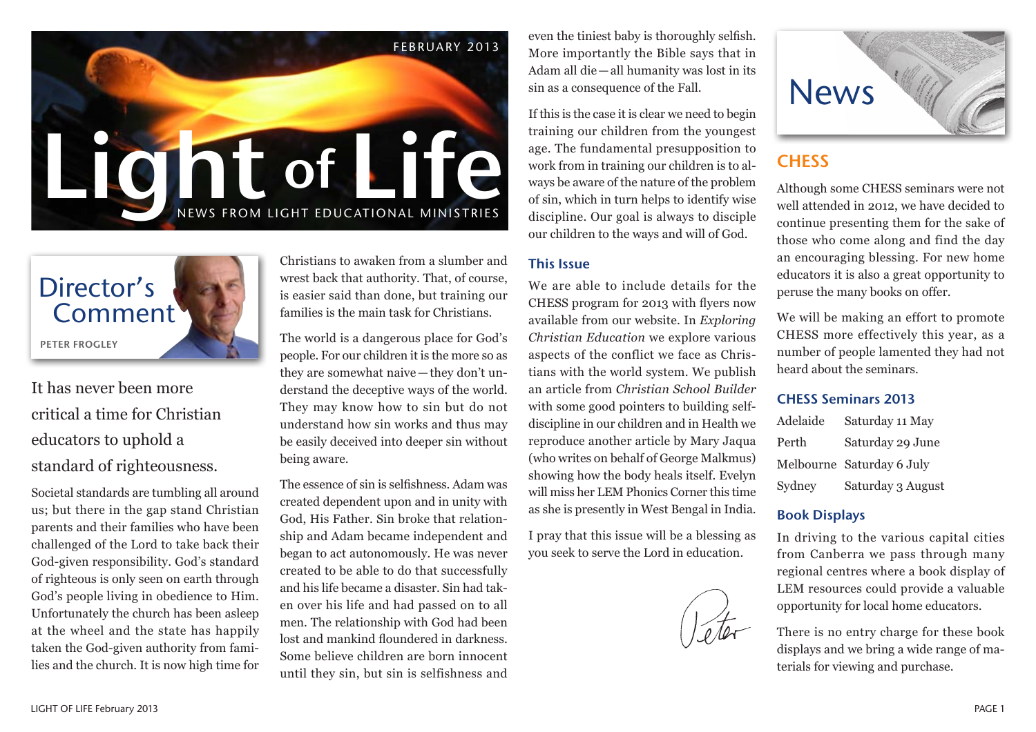



It has never been more critical a time for Christian educators to uphold a standard of righteousness.

Societal standards are tumbling all around us; but there in the gap stand Christian parents and their families who have been challenged of the Lord to take back their God-given responsibility. God's standard of righteous is only seen on earth through God's people living in obedience to Him. Unfortunately the church has been asleep at the wheel and the state has happily taken the God-given authority from families and the church. It is now high time for

Christians to awaken from a slumber and wrest back that authority. That, of course, is easier said than done, but training our families is the main task for Christians.

The world is a dangerous place for God's people. For our children it is the more so as they are somewhat naive—they don't understand the deceptive ways of the world. They may know how to sin but do not understand how sin works and thus may be easily deceived into deeper sin without being aware.

The essence of sin is selfishness. Adam was created dependent upon and in unity with God, His Father. Sin broke that relationship and Adam became independent and began to act autonomously. He was never created to be able to do that successfully and his life became a disaster. Sin had taken over his life and had passed on to all men. The relationship with God had been lost and mankind floundered in darkness. Some believe children are born innocent until they sin, but sin is selfishness and

even the tiniest baby is thoroughly selfish. More importantly the Bible says that in Adam all die—all humanity was lost in its sin as a consequence of the Fall.

If this is the case it is clear we need to begin training our children from the youngest age. The fundamental presupposition to work from in training our children is to always be aware of the nature of the problem of sin, which in turn helps to identify wise discipline. Our goal is always to disciple our children to the ways and will of God.

### This Issue

We are able to include details for the CHESS program for 2013 with flyers now available from our website. In *Exploring Christian Education* we explore various aspects of the conflict we face as Christians with the world system. We publish an article from *Christian School Builder*  with some good pointers to building selfdiscipline in our children and in Health we reproduce another article by Mary Jaqua (who writes on behalf of George Malkmus) showing how the body heals itself. Evelyn will miss her LEM Phonics Corner this time as she is presently in West Bengal in India.

I pray that this issue will be a blessing as you seek to serve the Lord in education.



## **CHESS**

Although some CHESS seminars were not well attended in 2012, we have decided to continue presenting them for the sake of those who come along and find the day an encouraging blessing. For new home educators it is also a great opportunity to peruse the many books on offer.

We will be making an effort to promote CHESS more effectively this year, as a number of people lamented they had not heard about the seminars.

#### CHESS Seminars 2013

| Adelaide | Saturday 11 May           |
|----------|---------------------------|
| Perth    | Saturday 29 June          |
|          | Melbourne Saturday 6 July |
| Sydney   | Saturday 3 August         |

### Book Displays

In driving to the various capital cities from Canberra we pass through many regional centres where a book display of LEM resources could provide a valuable opportunity for local home educators.

There is no entry charge for these book displays and we bring a wide range of materials for viewing and purchase.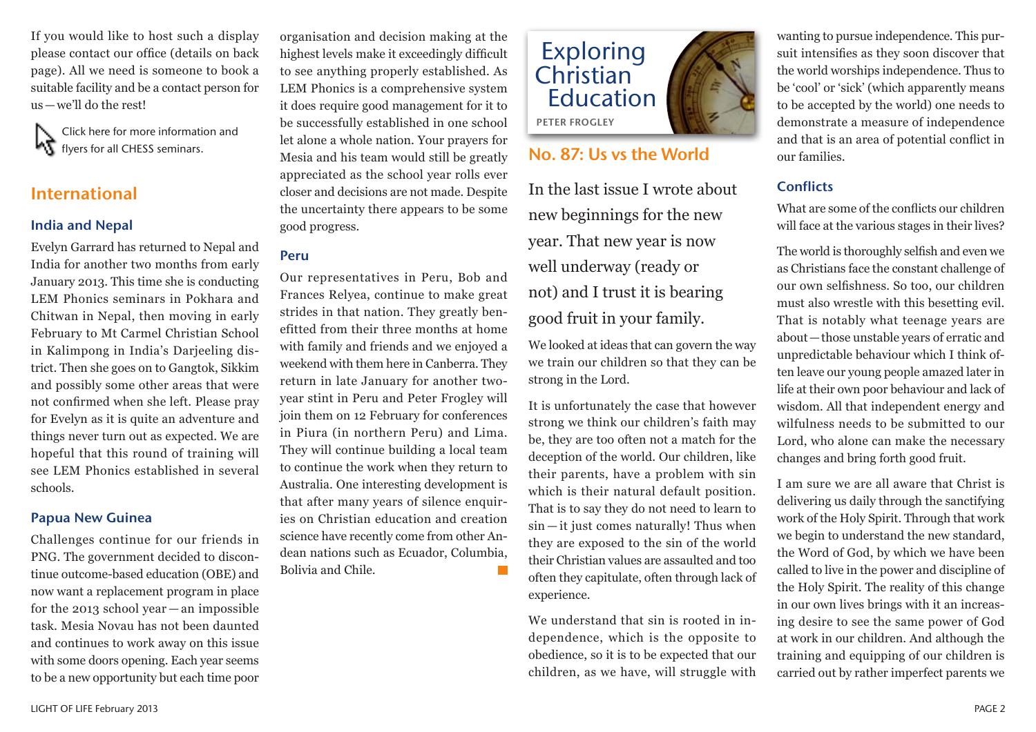If you would like to host such a display please contact our office (details on back page). All we need is someone to book a suitable facility and be a contact person for us—we'll do the rest!

Click here for more information and **KT** flyers for all CHESS seminars.

### International

### India and Nepal

Evelyn Garrard has returned to Nepal and India for another two months from early January 2013. This time she is conducting LEM Phonics seminars in Pokhara and Chitwan in Nepal, then moving in early February to Mt Carmel Christian School in Kalimpong in India's Darjeeling district. Then she goes on to Gangtok, Sikkim and possibly some other areas that were not confirmed when she left. Please pray for Evelyn as it is quite an adventure and things never turn out as expected. We are hopeful that this round of training will see LEM Phonics established in several schools.

### Papua New Guinea

Challenges continue for our friends in PNG. The government decided to discontinue outcome-based education (OBE) and now want a replacement program in place for the 2013 school year — an impossible task. Mesia Novau has not been daunted and continues to work away on this issue with some doors opening. Each year seems to be a new opportunity but each time poor

organisation and decision making at the highest levels make it exceedingly difficult to see anything properly established. As LEM Phonics is a comprehensive system it does require good management for it to be successfully established in one school let alone a whole nation. Your prayers for Mesia and his team would still be greatly appreciated as the school year rolls ever closer and decisions are not made. Despite the uncertainty there appears to be some good progress.

### Peru

Our representatives in Peru, Bob and Frances Relyea, continue to make great strides in that nation. They greatly benefitted from their three months at home with family and friends and we enjoyed a weekend with them here in Canberra. They return in late January for another twoyear stint in Peru and Peter Frogley will join them on 12 February for conferences in Piura (in northern Peru) and Lima. They will continue building a local team to continue the work when they return to Australia. One interesting development is that after many years of silence enquiries on Christian education and creation science have recently come from other Andean nations such as Ecuador, Columbia, Bolivia and Chile.



### No. 87: Us vs the World

In the last issue I wrote about new beginnings for the new year. That new year is now well underway (ready or not) and I trust it is bearing good fruit in your family.

We looked at ideas that can govern the way we train our children so that they can be strong in the Lord.

It is unfortunately the case that however strong we think our children's faith may be, they are too often not a match for the deception of the world. Our children, like their parents, have a problem with sin which is their natural default position. That is to say they do not need to learn to sin — it just comes naturally! Thus when they are exposed to the sin of the world their Christian values are assaulted and too often they capitulate, often through lack of experience.

We understand that sin is rooted in independence, which is the opposite to obedience, so it is to be expected that our children, as we have, will struggle with wanting to pursue independence. This pursuit intensifies as they soon discover that the world worships independence. Thus to be 'cool' or 'sick' (which apparently means to be accepted by the world) one needs to demonstrate a measure of independence and that is an area of potential conflict in our families.

### **Conflicts**

What are some of the conflicts our children will face at the various stages in their lives?

The world is thoroughly selfish and even we as Christians face the constant challenge of our own selfishness. So too, our children must also wrestle with this besetting evil. That is notably what teenage years are about—those unstable years of erratic and unpredictable behaviour which I think often leave our young people amazed later in life at their own poor behaviour and lack of wisdom. All that independent energy and wilfulness needs to be submitted to our Lord, who alone can make the necessary changes and bring forth good fruit.

I am sure we are all aware that Christ is delivering us daily through the sanctifying work of the Holy Spirit. Through that work we begin to understand the new standard, the Word of God, by which we have been called to live in the power and discipline of the Holy Spirit. The reality of this change in our own lives brings with it an increasing desire to see the same power of God at work in our children. And although the training and equipping of our children is carried out by rather imperfect parents we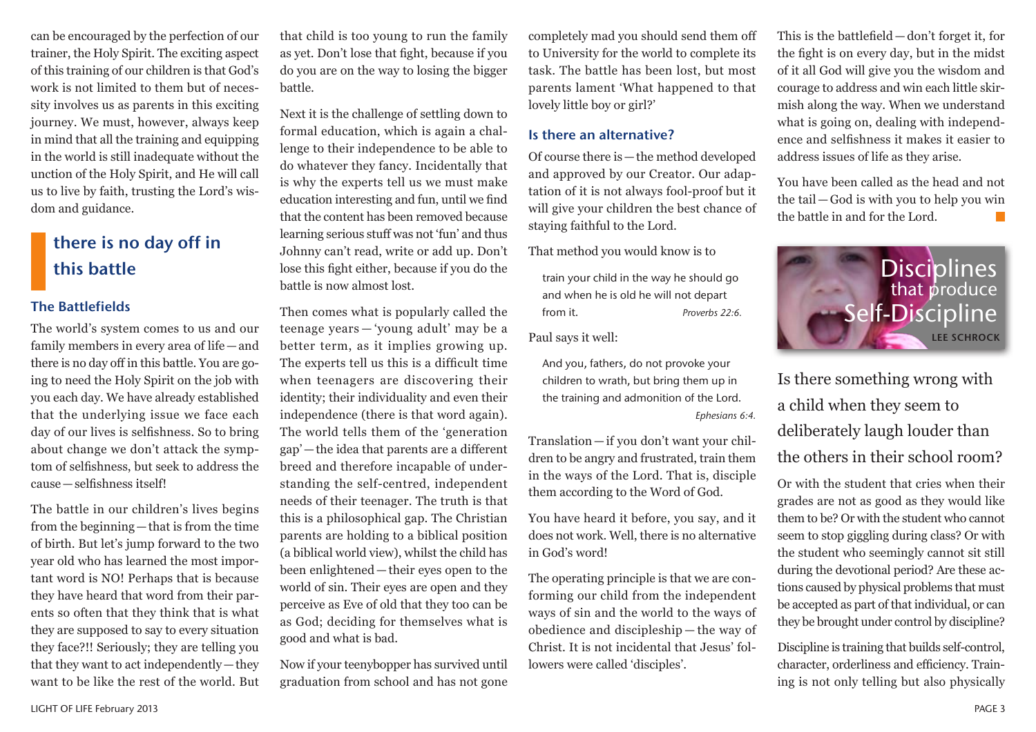can be encouraged by the perfection of our trainer, the Holy Spirit. The exciting aspect of this training of our children is that God's work is not limited to them but of necessity involves us as parents in this exciting journey. We must, however, always keep in mind that all the training and equipping in the world is still inadequate without the unction of the Holy Spirit, and He will call us to live by faith, trusting the Lord's wisdom and guidance.

## there is no day off in this battle

#### The Battlefields

The world's system comes to us and our family members in every area of life—and there is no day off in this battle. You are going to need the Holy Spirit on the job with you each day. We have already established that the underlying issue we face each day of our lives is selfishness. So to bring about change we don't attack the symptom of selfishness, but seek to address the cause—selfishness itself!

The battle in our children's lives begins from the beginning—that is from the time of birth. But let's jump forward to the two year old who has learned the most important word is NO! Perhaps that is because they have heard that word from their parents so often that they think that is what they are supposed to say to every situation they face?!! Seriously; they are telling you that they want to act independently—they want to be like the rest of the world. But that child is too young to run the family as yet. Don't lose that fight, because if you do you are on the way to losing the bigger battle.

Next it is the challenge of settling down to formal education, which is again a challenge to their independence to be able to do whatever they fancy. Incidentally that is why the experts tell us we must make education interesting and fun, until we find that the content has been removed because learning serious stuff was not 'fun' and thus Johnny can't read, write or add up. Don't lose this fight either, because if you do the battle is now almost lost.

Then comes what is popularly called the teenage years — 'young adult' may be a better term, as it implies growing up. The experts tell us this is a difficult time when teenagers are discovering their identity; their individuality and even their independence (there is that word again). The world tells them of the 'generation gap'—the idea that parents are a different breed and therefore incapable of understanding the self-centred, independent needs of their teenager. The truth is that this is a philosophical gap. The Christian parents are holding to a biblical position (a biblical world view), whilst the child has been enlightened—their eyes open to the world of sin. Their eyes are open and they perceive as Eve of old that they too can be as God; deciding for themselves what is good and what is bad.

Now if your teenybopper has survived until graduation from school and has not gone

completely mad you should send them off to University for the world to complete its task. The battle has been lost, but most parents lament 'What happened to that lovely little boy or girl?'

#### Is there an alternative?

Of course there is—the method developed and approved by our Creator. Our adaptation of it is not always fool-proof but it will give your children the best chance of staying faithful to the Lord.

That method you would know is to

train your child in the way he should go and when he is old he will not depart from it. *Proverbs 22:6.*

Paul says it well:

And you, fathers, do not provoke your children to wrath, but bring them up in the training and admonition of the Lord. *Ephesians 6:4.*

Translation—if you don't want your children to be angry and frustrated, train them in the ways of the Lord. That is, disciple them according to the Word of God.

You have heard it before, you say, and it does not work. Well, there is no alternative in God's word!

The operating principle is that we are conforming our child from the independent ways of sin and the world to the ways of obedience and discipleship — the way of Christ. It is not incidental that Jesus' followers were called 'disciples'.

This is the battlefield—don't forget it, for the fight is on every day, but in the midst of it all God will give you the wisdom and courage to address and win each little skirmish along the way. When we understand what is going on, dealing with independence and selfishness it makes it easier to address issues of life as they arise.

You have been called as the head and not the tail—God is with you to help you win the battle in and for the Lord.



Is there something wrong with a child when they seem to deliberately laugh louder than the others in their school room?

Or with the student that cries when their grades are not as good as they would like them to be? Or with the student who cannot seem to stop giggling during class? Or with the student who seemingly cannot sit still during the devotional period? Are these actions caused by physical problems that must be accepted as part of that individual, or can they be brought under control by discipline?

Discipline is training that builds self-control, character, orderliness and efficiency. Training is not only telling but also physically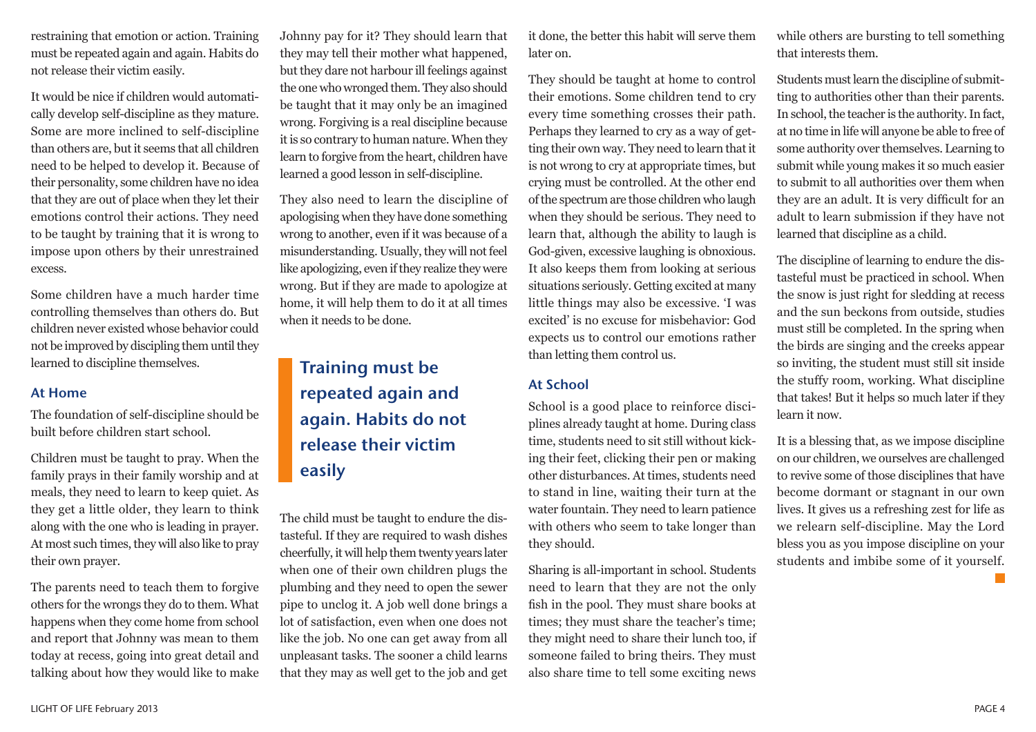restraining that emotion or action. Training must be repeated again and again. Habits do not release their victim easily.

It would be nice if children would automatically develop self-discipline as they mature. Some are more inclined to self-discipline than others are, but it seems that all children need to be helped to develop it. Because of their personality, some children have no idea that they are out of place when they let their emotions control their actions. They need to be taught by training that it is wrong to impose upon others by their unrestrained excess.

Some children have a much harder time controlling themselves than others do. But children never existed whose behavior could not be improved by discipling them until they learned to discipline themselves.

#### At Home

The foundation of self-discipline should be built before children start school.

Children must be taught to pray. When the family prays in their family worship and at meals, they need to learn to keep quiet. As they get a little older, they learn to think along with the one who is leading in prayer. At most such times, they will also like to pray their own prayer.

The parents need to teach them to forgive others for the wrongs they do to them. What happens when they come home from school and report that Johnny was mean to them today at recess, going into great detail and talking about how they would like to make

Johnny pay for it? They should learn that they may tell their mother what happened, but they dare not harbour ill feelings against the one who wronged them. They also should be taught that it may only be an imagined wrong. Forgiving is a real discipline because it is so contrary to human nature. When they learn to forgive from the heart, children have learned a good lesson in self-discipline.

They also need to learn the discipline of apologising when they have done something wrong to another, even if it was because of a misunderstanding. Usually, they will not feel like apologizing, even if they realize they were wrong. But if they are made to apologize at home, it will help them to do it at all times when it needs to be done.

# Training must be repeated again and again. Habits do not release their victim easily

The child must be taught to endure the distasteful. If they are required to wash dishes cheerfully, it will help them twenty years later when one of their own children plugs the plumbing and they need to open the sewer pipe to unclog it. A job well done brings a lot of satisfaction, even when one does not like the job. No one can get away from all unpleasant tasks. The sooner a child learns that they may as well get to the job and get it done, the better this habit will serve them later on.

They should be taught at home to control their emotions. Some children tend to cry every time something crosses their path. Perhaps they learned to cry as a way of getting their own way. They need to learn that it is not wrong to cry at appropriate times, but crying must be controlled. At the other end of the spectrum are those children who laugh when they should be serious. They need to learn that, although the ability to laugh is God-given, excessive laughing is obnoxious. It also keeps them from looking at serious situations seriously. Getting excited at many little things may also be excessive. 'I was excited' is no excuse for misbehavior: God expects us to control our emotions rather than letting them control us.

### At School

School is a good place to reinforce disciplines already taught at home. During class time, students need to sit still without kicking their feet, clicking their pen or making other disturbances. At times, students need to stand in line, waiting their turn at the water fountain. They need to learn patience with others who seem to take longer than they should.

Sharing is all-important in school. Students need to learn that they are not the only fish in the pool. They must share books at times; they must share the teacher's time; they might need to share their lunch too, if someone failed to bring theirs. They must also share time to tell some exciting news

while others are bursting to tell something that interests them.

Students must learn the discipline of submitting to authorities other than their parents. In school, the teacher is the authority. In fact, at no time in life will anyone be able to free of some authority over themselves. Learning to submit while young makes it so much easier to submit to all authorities over them when they are an adult. It is very difficult for an adult to learn submission if they have not learned that discipline as a child.

The discipline of learning to endure the distasteful must be practiced in school. When the snow is just right for sledding at recess and the sun beckons from outside, studies must still be completed. In the spring when the birds are singing and the creeks appear so inviting, the student must still sit inside the stuffy room, working. What discipline that takes! But it helps so much later if they learn it now.

It is a blessing that, as we impose discipline on our children, we ourselves are challenged to revive some of those disciplines that have become dormant or stagnant in our own lives. It gives us a refreshing zest for life as we relearn self-discipline. May the Lord bless you as you impose discipline on your students and imbibe some of it yourself.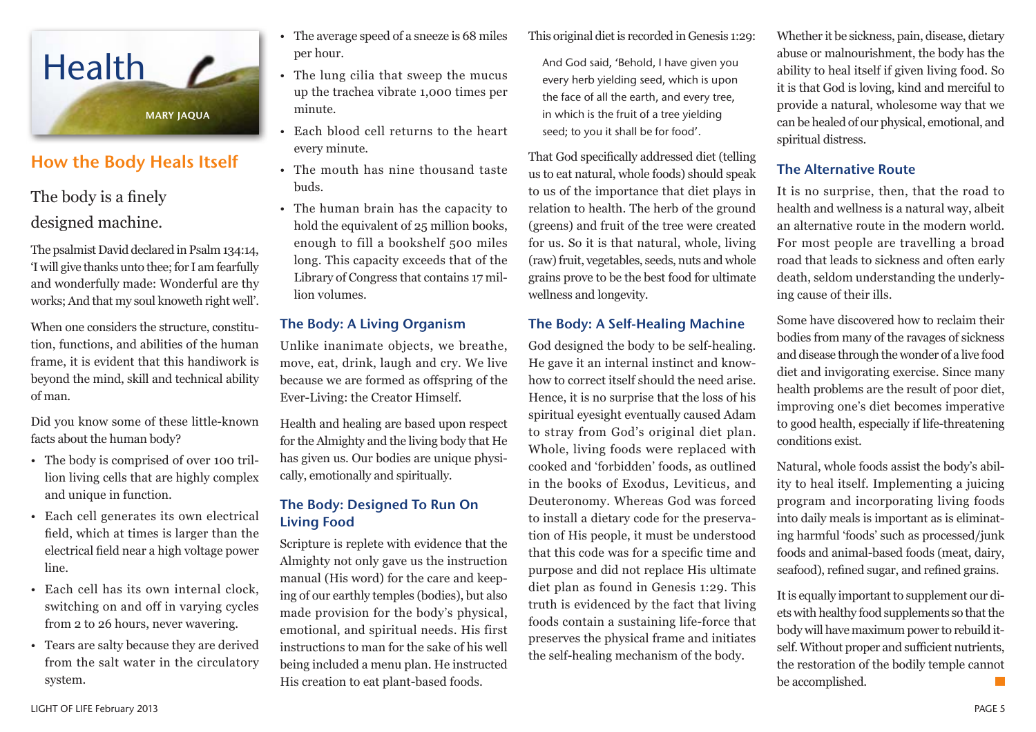

### How the Body Heals Itself

The body is a finely designed machine.

The psalmist David declared in Psalm 134:14, 'I will give thanks unto thee; for I am fearfully and wonderfully made: Wonderful are thy works; And that my soul knoweth right well'.

When one considers the structure, constitution, functions, and abilities of the human frame, it is evident that this handiwork is beyond the mind, skill and technical ability of man.

Did you know some of these little-known facts about the human body?

- The body is comprised of over 100 trillion living cells that are highly complex and unique in function.
- Each cell generates its own electrical field, which at times is larger than the electrical field near a high voltage power line.
- Each cell has its own internal clock, switching on and off in varying cycles from 2 to 26 hours, never wavering.
- Tears are salty because they are derived from the salt water in the circulatory system.
- The average speed of a sneeze is 68 miles per hour.
- The lung cilia that sweep the mucus up the trachea vibrate 1,000 times per minute.
- Each blood cell returns to the heart every minute.
- The mouth has nine thousand taste buds.
- The human brain has the capacity to hold the equivalent of 25 million books, enough to fill a bookshelf 500 miles long. This capacity exceeds that of the Library of Congress that contains 17 million volumes.

### The Body: A Living Organism

Unlike inanimate objects, we breathe, move, eat, drink, laugh and cry. We live because we are formed as offspring of the Ever-Living: the Creator Himself.

Health and healing are based upon respect for the Almighty and the living body that He has given us. Our bodies are unique physically, emotionally and spiritually.

### The Body: Designed To Run On Living Food

Scripture is replete with evidence that the Almighty not only gave us the instruction manual (His word) for the care and keeping of our earthly temples (bodies), but also made provision for the body's physical, emotional, and spiritual needs. His first instructions to man for the sake of his well being included a menu plan. He instructed His creation to eat plant-based foods.

This original diet is recorded in Genesis 1:29:

And God said, 'Behold, I have given you every herb yielding seed, which is upon the face of all the earth, and every tree, in which is the fruit of a tree yielding seed; to you it shall be for food'.

That God specifically addressed diet (telling us to eat natural, whole foods) should speak to us of the importance that diet plays in relation to health. The herb of the ground (greens) and fruit of the tree were created for us. So it is that natural, whole, living (raw) fruit, vegetables, seeds, nuts and whole grains prove to be the best food for ultimate wellness and longevity.

### The Body: A Self-Healing Machine

God designed the body to be self-healing. He gave it an internal instinct and knowhow to correct itself should the need arise. Hence, it is no surprise that the loss of his spiritual eyesight eventually caused Adam to stray from God's original diet plan. Whole, living foods were replaced with cooked and 'forbidden' foods, as outlined in the books of Exodus, Leviticus, and Deuteronomy. Whereas God was forced to install a dietary code for the preservation of His people, it must be understood that this code was for a specific time and purpose and did not replace His ultimate diet plan as found in Genesis 1:29. This truth is evidenced by the fact that living foods contain a sustaining life-force that preserves the physical frame and initiates the self-healing mechanism of the body.

Whether it be sickness, pain, disease, dietary abuse or malnourishment, the body has the ability to heal itself if given living food. So it is that God is loving, kind and merciful to provide a natural, wholesome way that we can be healed of our physical, emotional, and spiritual distress.

### The Alternative Route

It is no surprise, then, that the road to health and wellness is a natural way, albeit an alternative route in the modern world. For most people are travelling a broad road that leads to sickness and often early death, seldom understanding the underlying cause of their ills.

Some have discovered how to reclaim their bodies from many of the ravages of sickness and disease through the wonder of a live food diet and invigorating exercise. Since many health problems are the result of poor diet, improving one's diet becomes imperative to good health, especially if life-threatening conditions exist.

Natural, whole foods assist the body's ability to heal itself. Implementing a juicing program and incorporating living foods into daily meals is important as is eliminating harmful 'foods' such as processed/junk foods and animal-based foods (meat, dairy, seafood), refined sugar, and refined grains.

It is equally important to supplement our diets with healthy food supplements so that the body will have maximum power to rebuild itself. Without proper and sufficient nutrients, the restoration of the bodily temple cannot be accomplished.  $\mathbb{R}^n$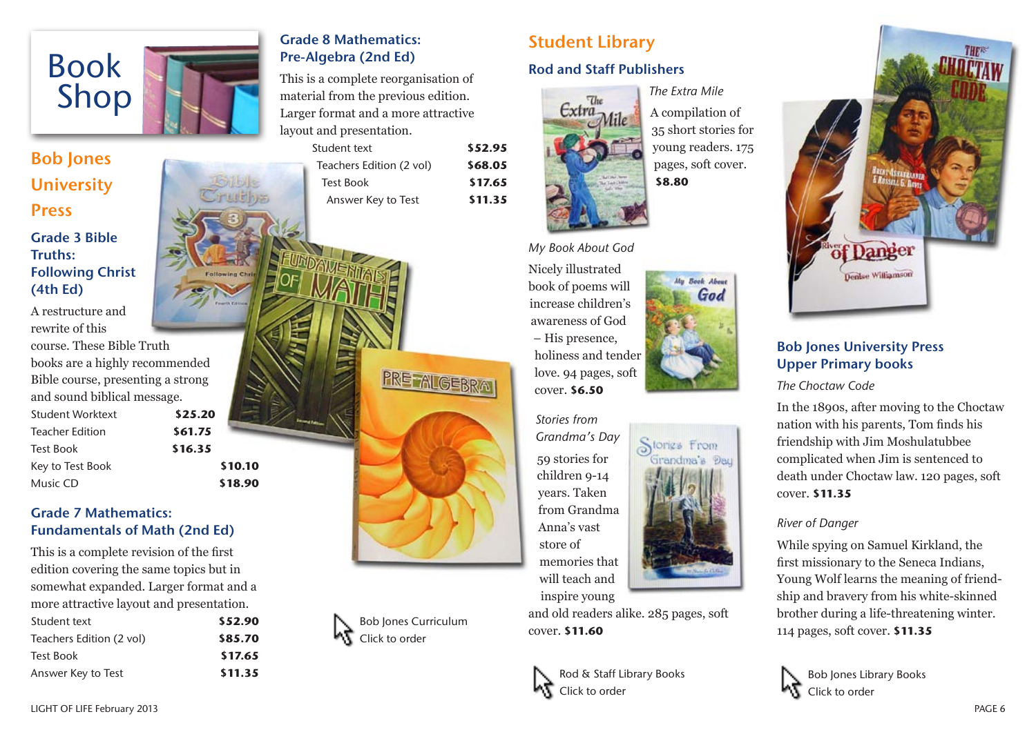

## Bob Jones **University** Press Grade 3 Bible Truths: Following Christ (4th Ed)

A restructure and rewrite of this course. These Bible Truth books are a highly recommended Bible course, presenting a strong and sound biblical message. Student Worktext **\$25.20** Teacher Edition **\$61.75** Test Book **\$16.35** Key to Test Book **\$10.10** Music CD **\$18.90**

### Grade 7 Mathematics: Fundamentals of Math (2nd Ed)

This is a complete revision of the first edition covering the same topics but in somewhat expanded. Larger format and a more attractive layout and presentation. Student text **\$52.90** Teachers Edition (2 vol) **\$85.70** Test Book **\$17.65** Answer Key to Test **\$11.35**

### Grade 8 Mathematics: Pre-Algebra (2nd Ed)

This is a complete reorganisation of material from the previous edition. Larger format and a more attractive layout and presentation.

| Student text             |                    | \$52.95 |
|--------------------------|--------------------|---------|
| Teachers Edition (2 vol) |                    | \$68.05 |
|                          | <b>Test Book</b>   | \$17.65 |
|                          | Answer Key to Test | \$11.35 |
|                          |                    |         |

Bob Jones Curriculum Click to order

**PRETALGEBRA** 

# Student Library

### Rod and Staff Publishers



*The Extra Mile* **\$8.80**

> **Book About** God

Stories From Grandma's Dau

### *My Book About God*

Nicely illustrated book of poems will increase children's awareness of God – His presence, holiness and tender love. 94 pages, soft cover. **\$6.50**

*Stories from Grandma's Day* 59 stories for children 9-14 years. Taken from Grandma Anna's vast store of memories that will teach and

inspire young

Rod & Staff Library Books

Click to order

cover. **\$11.60**

A compilation of 35 short stories for young readers. 175 pages, soft cover.



### Bob Jones University Press Upper Primary books

*The Choctaw Code*

In the 1890s, after moving to the Choctaw nation with his parents, Tom finds his friendship with Jim Moshulatubbee complicated when Jim is sentenced to death under Choctaw law. 120 pages, soft cover. **\$11.35**

### *River of Danger*

While spying on Samuel Kirkland, the first missionary to the Seneca Indians, Young Wolf learns the meaning of friendship and bravery from his white-skinned brother during a life-threatening winter. 114 pages, soft cover. **\$11.35**

Bob Jones Library Books Click to order

and old readers alike. 285 pages, soft